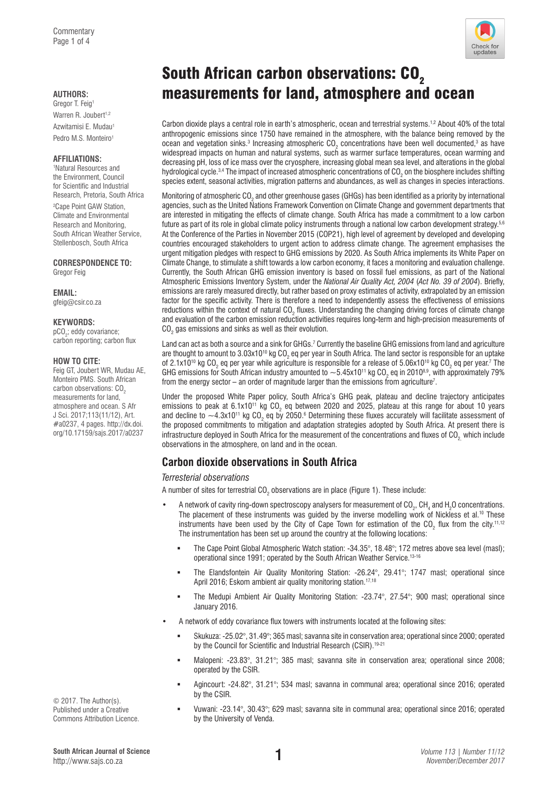AUTHORS: **measurements for land, atmosphere and ocean** Gregor T. Feig<sup>1</sup> Warren R. Joubert<sup>1,2</sup> Azwitamisi E. Mudau1 Pedro M.S. Monteiro1

### **AFFILIATIONS:**

1 Natural Resources and the Environment, Council for Scientific and Industrial Research, Pretoria, South Africa

2 Cape Point GAW Station, Climate and Environmental Research and Monitoring, South African Weather Service, Stellenbosch, South Africa

**CORRESPONDENCE TO:**  Gregor Feig

**EMAIL:**  [gfeig@csir.co.za](mailto:gfeig@csir.co.za)

## **KEYWORDS:**

pCO<sub>2</sub>; eddy covariance; carbon reporting; carbon flux

## **HOW TO CITE:**

Feig GT, Joubert WR, Mudau AE, Monteiro PMS. South African carbon observations: CO<sub>2</sub> measurements for land, atmosphere and ocean. S Afr J Sci. 2017;113(11/12), Art. #a0237, 4 pages. [http://dx.doi.](http://dx.doi.org/10.17159/sajs.2017/a0237) [org/10.17159/sajs.2017/a0237](http://dx.doi.org/10.17159/sajs.2017/a0237)

© 2017. The Author(s). Published under a Creative Commons Attribution Licence. Check for

Carbon dioxide plays a central role in earth's atmospheric, ocean and terrestrial systems.<sup>1,2</sup> About 40% of the total anthropogenic emissions since 1750 have remained in the atmosphere, with the balance being removed by the ocean and vegetation sinks. $^3$  Increasing atmospheric CO<sub>2</sub> concentrations have been well documented, $^3$  as have widespread impacts on human and natural systems, such as warmer surface temperatures, ocean warming and decreasing pH, loss of ice mass over the cryosphere, increasing global mean sea level, and alterations in the global hydrological cycle. $^{3,4}$  The impact of increased atmospheric concentrations of CO<sub>2</sub> on the biosphere includes shifting species extent, seasonal activities, migration patterns and abundances, as well as changes in species interactions.

Monitoring of atmospheric CO<sub>2</sub> and other greenhouse gases (GHGs) has been identified as a priority by international agencies, such as the United Nations Framework Convention on Climate Change and government departments that are interested in mitigating the effects of climate change. South Africa has made a commitment to a low carbon future as part of its role in global climate policy instruments through a national low carbon development strategy.<sup>5,6</sup> At the Conference of the Parties in November 2015 (COP21), high level of agreement by developed and developing countries encouraged stakeholders to urgent action to address climate change. The agreement emphasises the urgent mitigation pledges with respect to GHG emissions by 2020. As South Africa implements its White Paper on Climate Change, to stimulate a shift towards a low carbon economy, it faces a monitoring and evaluation challenge. Currently, the South African GHG emission inventory is based on fossil fuel emissions, as part of the National Atmospheric Emissions Inventory System, under the *National Air Quality Act, 2004* (*Act No. 39 of 2004*). Briefly, emissions are rarely measured directly, but rather based on proxy estimates of activity, extrapolated by an emission factor for the specific activity. There is therefore a need to independently assess the effectiveness of emissions reductions within the context of natural CO<sub>2</sub> fluxes. Understanding the changing driving forces of climate change and evaluation of the carbon emission reduction activities requires long-term and high-precision measurements of  $\mathrm{CO}_2$  gas emissions and sinks as well as their evolution.

Land can act as both a source and a sink for GHGs.<sup>7</sup> Currently the baseline GHG emissions from land and agriculture are thought to amount to 3.03x101º kg CO<sub>2</sub> eq per year in South Africa. The land sector is responsible for an uptake of 2.1x10 $^{10}$  kg CO $_{2}$  eq per year while agriculture is responsible for a release of 5.06x10 $^{10}$  kg CO $_{2}$  eq per year. $^{7}$  The GHG emissions for South African industry amounted to  $\sim$ 5.45x1011 kg CO<sub>2</sub> eq in 2010<sup>8,9</sup>, with approximately 79% from the energy sector  $-$  an order of magnitude larger than the emissions from agriculture<sup>7</sup>.

Under the proposed White Paper policy, South Africa's GHG peak, plateau and decline trajectory anticipates emissions to peak at 6.1x10<sup>11</sup> kg CO<sub>2</sub> eq between 2020 and 2025, plateau at this range for about 10 years and decline to  ${\sim}$ 4.3x1011 kg CO<sub>2</sub> eq by 2050.6 Determining these fluxes accurately will facilitate assessment of the proposed commitments to mitigation and adaptation strategies adopted by South Africa. At present there is infrastructure deployed in South Africa for the measurement of the concentrations and fluxes of  $CO<sub>2</sub>$  which include observations in the atmosphere, on land and in the ocean.

# **Carbon dioxide observations in South Africa**

## *Terresterial observations*

A number of sites for terrestrial CO<sub>2</sub> observations are in place (Figure 1). These include:

- A network of cavity ring-down spectroscopy analysers for measurement of  $CO_2$ , CH<sub>4</sub> and H<sub>2</sub>O concentrations. The placement of these instruments was guided by the inverse modelling work of Nickless et al.<sup>10</sup> These instruments have been used by the City of Cape Town for estimation of the CO<sub>2</sub> flux from the city.<sup>11,12</sup> The instrumentation has been set up around the country at the following locations:
	- The Cape Point Global Atmospheric Watch station: -34.35°, 18.48°; 172 metres above sea level (masl); operational since 1991; operated by the South African Weather Service.13-16
	- The Elandsfontein Air Quality Monitoring Station: -26.24°, 29.41°; 1747 masl; operational since April 2016; Eskom ambient air quality monitoring station.<sup>17,18</sup>
	- The Medupi Ambient Air Quality Monitoring Station: -23.74°, 27.54°; 900 masl; operational since January 2016.
- A network of eddy covariance flux towers with instruments located at the following sites:
	- Skukuza: -25.02°, 31.49°; 365 masl; savanna site in conservation area; operational since 2000; operated by the Council for Scientific and Industrial Research (CSIR).<sup>19-21</sup>
	- Malopeni: -23.83°, 31.21°; 385 masl; savanna site in conservation area; operational since 2008; operated by the CSIR.
	- Agincourt: -24.82°, 31.21°; 534 masl; savanna in communal area; operational since 2016; operated by the CSIR.
	- Vuwani: -23.14°, 30.43°; 629 masl; savanna site in communal area; operational since 2016; operated by the University of Venda.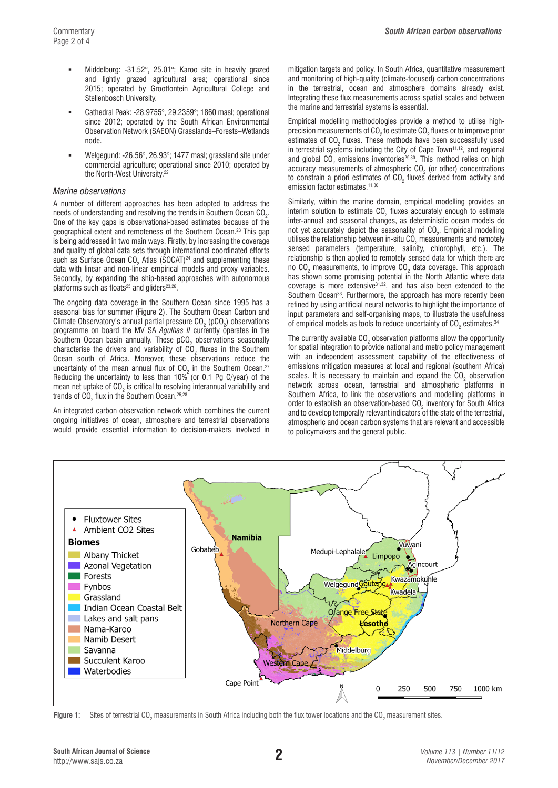- Middelburg: -31.52°, 25.01°; Karoo site in heavily grazed and lightly grazed agricultural area; operational since 2015; operated by Grootfontein Agricultural College and Stellenbosch University.
- Cathedral Peak: -28.9755°, 29.2359°; 1860 masl; operational since 2012; operated by the South African Environmental Observation Network (SAEON) Grasslands–Forests–Wetlands node.
- Welgegund: -26.56°, 26.93°; 1477 masl; grassland site under commercial agriculture; operational since 2010; operated by the North-West University.<sup>22</sup>

### *Marine observations*

A number of different approaches has been adopted to address the needs of understanding and resolving the trends in Southern Ocean CO $_{\textrm{\tiny{2}}}$ . One of the key gaps is observational-based estimates because of the geographical extent and remoteness of the Southern Ocean.23 This gap is being addressed in two main ways. Firstly, by increasing the coverage and quality of global data sets through international coordinated efforts such as Surface Ocean CO<sub>2</sub> Atlas (SOCAT)<sup>24</sup> and supplementing these data with linear and non-linear empirical models and proxy variables. Secondly, by expanding the ship-based approaches with autonomous platforms such as floats<sup>25</sup> and gliders<sup>23,26</sup>.

The ongoing data coverage in the Southern Ocean since 1995 has a seasonal bias for summer (Figure 2). The Southern Ocean Carbon and Climate Observatory's annual partial pressure CO<sub>2</sub> (pCO<sub>2</sub>) observations programme on board the MV SA *Agulhas II* currently operates in the Southern Ocean basin annually. These  $\tt pCO_2$  observations seasonally characterise the drivers and variability of CO<sub>2</sub> fluxes in the Southern Ocean south of Africa. Moreover, these observations reduce the uncertainty of the mean annual flux of CO<sub>2</sub> in the Southern Ocean.<sup>27</sup> Reducing the uncertainty to less than 10% (or 0.1 Pg C/year) of the mean net uptake of CO<sub>2</sub> is critical to resolving interannual variability and trends of CO $_{_2}$  flux in the Southern Ocean. $^{\mathrm{25,28}}$ 

An integrated carbon observation network which combines the current ongoing initiatives of ocean, atmosphere and terrestrial observations would provide essential information to decision-makers involved in mitigation targets and policy. In South Africa, quantitative measurement and monitoring of high-quality (climate-focused) carbon concentrations in the terrestrial, ocean and atmosphere domains already exist. Integrating these flux measurements across spatial scales and between the marine and terrestrial systems is essential.

Empirical modelling methodologies provide a method to utilise highprecision measurements of CO<sub>2</sub> to estimate CO<sub>2</sub> fluxes or to improve prior estimates of  $CO<sub>2</sub>$  fluxes. These methods have been successfully used in terrestrial systems including the City of Cape Town<sup>11,12</sup>, and regional and global  $CO<sub>2</sub>$  emissions inventories<sup>29,30</sup>. This method relies on high accuracy measurements of atmospheric  $\texttt{CO}_2$  (or other) concentrations to constrain a priori estimates of CO<sub>2</sub> fluxes derived from activity and emission factor estimates.<sup>11,30</sup>

Similarly, within the marine domain, empirical modelling provides an interim solution to estimate  $\text{CO}_2$  fluxes accurately enough to estimate inter-annual and seasonal changes, as deterministic ocean models do not yet accurately depict the seasonality of  $\texttt{CO}_2$ . Empirical modelling utilises the relationship between in-situ CO<sub>2</sub> measurements and remotely sensed parameters (temperature, salinity, chlorophyll, etc.). The relationship is then applied to remotely sensed data for which there are no CO<sub>2</sub> measurements, to improve CO<sub>2</sub> data coverage. This approach has shown some promising potential in the North Atlantic where data coverage is more extensive31,32, and has also been extended to the Southern Ocean<sup>33</sup>. Furthermore, the approach has more recently been refined by using artificial neural networks to highlight the importance of input parameters and self-organising maps, to illustrate the usefulness of empirical models as tools to reduce uncertainty of CO<sub>2</sub> estimates. $^{34}$ 

The currently available CO<sub>2</sub> observation platforms allow the opportunity for spatial integration to provide national and metro policy management with an independent assessment capability of the effectiveness of emissions mitigation measures at local and regional (southern Africa) scales. It is necessary to maintain and expand the  $CO<sub>2</sub>$  observation network across ocean, terrestrial and atmospheric platforms in Southern Africa, to link the observations and modelling platforms in order to establish an observation-based  $CO<sub>2</sub>$  inventory for South Africa and to develop temporally relevant indicators of the state of the terrestrial, atmospheric and ocean carbon systems that are relevant and accessible to policymakers and the general public.



**Figure 1:** Sites of terrestrial CO<sub>2</sub> measurements in South Africa including both the flux tower locations and the CO<sub>2</sub> measurement sites.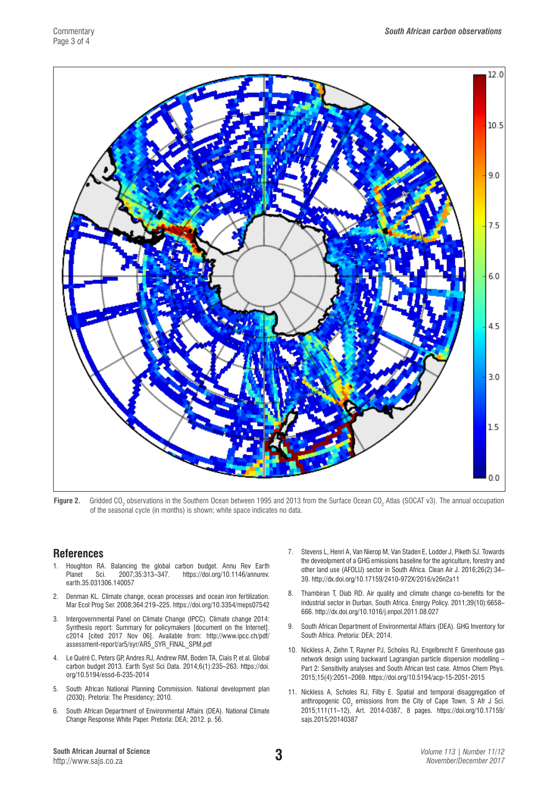

**Figure 2.** Gridded CO<sub>2</sub> observations in the Southern Ocean between 1995 and 2013 from the Surface Ocean CO<sub>2</sub> Atlas (SOCAT v3). The annual occupation of the seasonal cycle (in months) is shown; white space indicates no data.

# **References**

- 1. Houghton RA. Balancing the global carbon budget. Annu Rev Earth Planet Sci. 2007;35:313–347. [https://doi.org/10.1146/annurev.](https://doi.org/10.1146/annurev.earth.35.031306.140057) [earth.35.031306.140057](https://doi.org/10.1146/annurev.earth.35.031306.140057)
- 2. Denman KL. Climate change, ocean processes and ocean iron fertilization. Mar Ecol Prog Ser. 2008;364:219–225. <https://doi.org/10.3354/meps07542>
- 3. Intergovernmental Panel on Climate Change (IPCC). Climate change 2014: Synthesis report: Summary for policymakers [document on the Internet]. c2014 [cited 2017 Nov 06]. Available from: [http://www.ipcc.ch/pdf/](http://www.ipcc.ch/pdf/assessment-report/ar5/syr/AR5_SYR_FINAL_SPM.pdf) [assessment-report/ar5/syr/AR5\\_SYR\\_FINAL\\_SPM.pdf](http://www.ipcc.ch/pdf/assessment-report/ar5/syr/AR5_SYR_FINAL_SPM.pdf)
- 4. Le Quéré C, Peters GP, Andres RJ, Andrew RM, Boden TA, Ciais P, et al. Global carbon budget 2013. Earth Syst Sci Data. 2014;6(1):235–263. [https://doi.](https://doi.org/10.5194/essd-6-235-2014) [org/10.5194/essd-6-235-2014](https://doi.org/10.5194/essd-6-235-2014)
- 5. South African National Planning Commission. National development plan (2030). Pretoria: The Presidency; 2010.
- 6. South African Department of Environmental Affairs (DEA). National Climate Change Response White Paper. Pretoria: DEA; 2012. p. 56.
- 7. Stevens L, Henri A, Van Nierop M, Van Staden E, Lodder J, Piketh SJ. Towards the deveolpment of a GHG emissions baseline for the agriculture, forestry and other land use (AFOLU) sector in South Africa. Clean Air J. 2016;26(2):34– 39. <http://dx.doi.org/10.17159/2410-972X/2016/v26n2a11>
- 8. Thambiran T, Diab RD. Air quality and climate change co-benefits for the industrial sector in Durban, South Africa. Energy Policy. 2011;39(10):6658– 666. [http://dx.doi.org/10.1016/j.enpol.2011.08.027](http://dx.doi.org/10.1016/j.enpol.2011.08.027%20)
- 9. South African Department of Environmental Affairs (DEA). GHG Inventory for South Africa. Pretoria: DEA; 2014.
- 10. Nickless A, Ziehn T, Rayner PJ, Scholes RJ, Engelbrecht F. Greenhouse gas network design using backward Lagrangian particle dispersion modelling – Part 2: Sensitivity analyses and South African test case. Atmos Chem Phys. 2015;15(4):2051–2069. <https://doi.org/10.5194/acp-15-2051-2015>
- 11. Nickless A, Scholes RJ, Filby E. Spatial and temporal disaggregation of anthropogenic  $CO_2$  emissions from the City of Cape Town. S Afr J Sci. 2015;111(11–12), Art. 2014-0387, 8 pages. [https://doi.org/10.17159/](https://doi.org/10.17159/sajs.2015/20140387) [sajs.2015/20140387](https://doi.org/10.17159/sajs.2015/20140387)